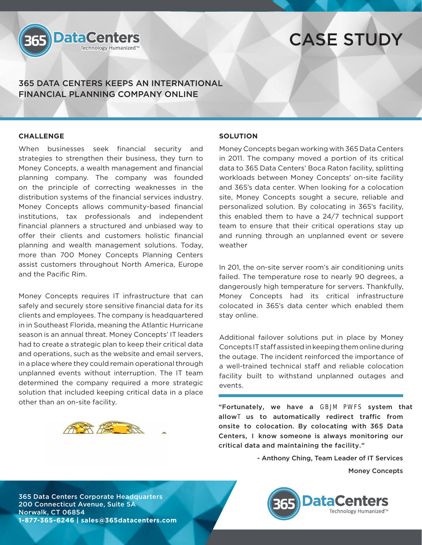

# CASE STUDY

365 DATA CENTERS KEEPS AN INTERNATIONAL FINANCIAL PLANNING COMPANY ONLINE

## **CHALLENGE**

When businesses seek financial security and strategies to strengthen their business, they turn to Money Concepts, a wealth management and financial planning company. The company was founded on the principle of correcting weaknesses in the distribution systems of the financial services industry. Money Concepts allows community-based financial institutions, tax professionals and independent financial planners a structured and unbiased way to offer their clients and customers holistic financial planning and wealth management solutions. Today, more than 700 Money Concepts Planning Centers assist customers throughout North America, Europe and the Pacific Rim.

Money Concepts requires IT infrastructure that can safely and securely store sensitive financial data for its clients and employees. The company is headquartered in in Southeast Florida, meaning the Atlantic Hurricane season is an annual threat. Money Concepts' IT leaders had to create a strategic plan to keep their critical data and operations, such as the website and email servers, in a place where they could remain operational through unplanned events without interruption. The IT team determined the company required a more strategic solution that included keeping critical data in a place other than an on-site facility.

## **SOLUTION**

Money Concepts began working with 365 Data Centers in 2011. The company moved a portion of its critical data to 365 Data Centers' Boca Raton facility, splitting workloads between Money Concepts' on-site facility and 365's data center. When looking for a colocation site, Money Concepts sought a secure, reliable and personalized solution. By colocating in 365's facility, this enabled them to have a 24/7 technical support team to ensure that their critical operations stay up and running through an unplanned event or severe weather

In 201, the on-site server room's air conditioning units failed. The temperature rose to nearly 90 degrees, a dangerously high temperature for servers. Thankfully, Money Concepts had its critical infrastructure colocated in 365's data center which enabled them stay online.

Additional failover solutions put in place by Money Concepts IT staff assisted in keeping them online during the outage. The incident reinforced the importance of a well-trained technical staff and reliable colocation facility built to withstand unplanned outages and events.

"Fortunately, we have a GBM PFS system that allowT us to automatically redirect traffic from onsite to colocation. By colocating with 365 Data Centers, I know someone is always monitoring our critical data and maintaining the facility."

- Anthony Ching, Team Leader of IT Services

Money Concepts

365 Data Centers Corporate Headquarters 200 Connecticut Avenue, Suite 5A Norwalk, CT 06854 **1-877-365-6246 | sales@365datacenters.com**